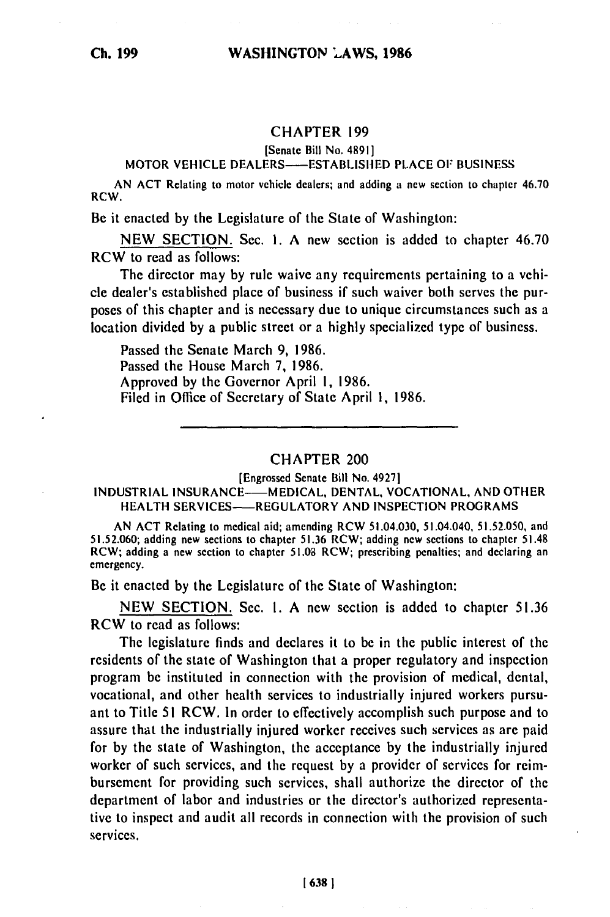## CHAPTER **199**

(Senate Bill **No.** 48911

MOTOR VEHICLE DEALERS---ESTABLISHED PLACE OF BUSINESS

AN ACT Relating to motor vehicle dealers; and adding a new section to chapter 46.70 RCW.

Be it enacted by the Legislature of the State of Washington:

NEW SECTION. Sec. **1.** A **new** section is added to chapter 46.70 RCW to read as follows:

The director may by rule waive any requirements pertaining to a vehicle dealer's established place of business if such waiver both serves the purposes of this chapter and is necessary due to unique circumstances such as a location divided by a public street or a highly specialized type of business.

Passed the Senate March 9, 1986. Passed the House March **7,** 1986. Approved by the Governor April **1,** 1986. Filed in Office of Secretary of State April **1,** 1986.

## CHAPTER 200

[Engrossed Senate Bill No. 49271

## INDUSTRIAL INSURANCE-MEDICAL, DENTAL, VOCATIONAL, AND OTHER HEALTH SERVICES--REGULATORY AND INSPECTION PROGRAMS

AN ACT Relating to medical aid; amending RCW 51.04.030, 51.04.040, 51.52.050, and 51.52.060; adding new sections to chapter 51.36 RCW; adding new sections to chapter 51.48 RCW; adding a new section to chapter 51.08 RCW; prescribing penalties; and declaring an emergency.

Be it enacted **by** the Legislature of the State of Washington:

NEW SECTION. Sec. I. A new section is added to chapter 51.36 RCW to read as follows:

The legislature finds and declares it to be in the public interest of the residents of the state of Washington that a proper regulatory and inspection program be instituted in connection with the provision of medical, dental, vocational, and other health services to industrially injured workers pursuant to Title 51 RCW. In order to effectively accomplish such purpose and to assure that the industrially injured worker receives such services as are paid for by the state of Washington, the acceptance by the industrially injured worker of such services, and the request by a provider of services for reimbursement for providing such services, shall authorize the director of the department of labor and industries or the director's authorized representative to inspect and audit all records in connection with the provision of such services.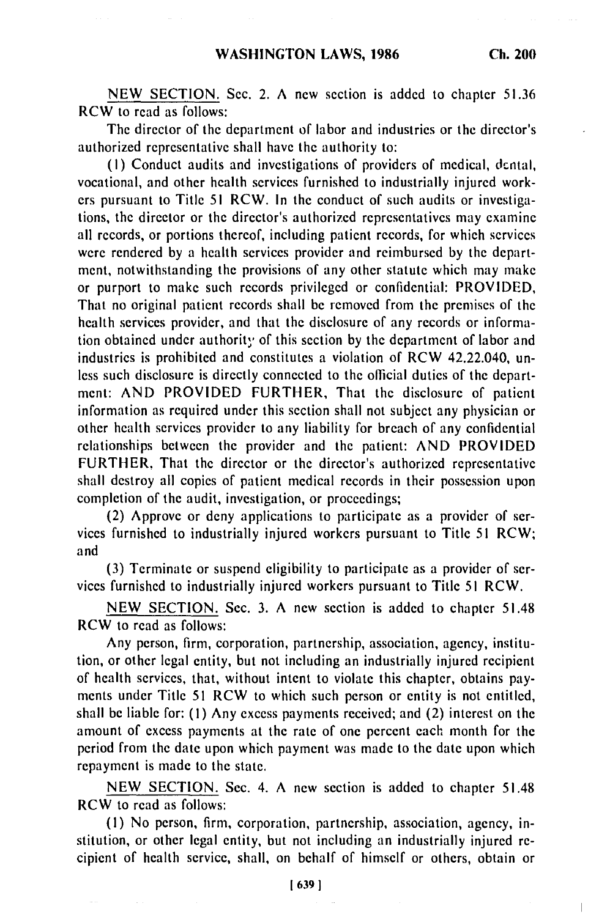NEW SECTION. Sec. 2. **A** new section is added to chapter 51.36 RCW to read as follows:

The director of the department of labor and industries or the director's authorized representative shall have the authority to:

(I) Conduct audits and investigations of providers of medical, dcntal, vocational, and other health services furnished to industrially injured workers pursuant to Title 51 RCW. In the conduct of such audits or investigations, the director or the director's authorized representatives may examine all records, or portions thereof, including patient records, for which services were rendered by a health services provider and reimbursed by the department, notwithstanding the provisions of any other statute which may make or purport to make such records privileged or confidential: PROVIDED, That no original patient records shall be removed from the premises of the health services provider, and that the disclosure of any records or information obtained under authority of this section by the department of labor and industries is prohibited and constitutes a violation of RCW 42.22.040, unless such disclosure is directly connected to the official duties of the department: AND PROVIDED FURTHER, That the disclosure of patient information as required under this section shall not subject any physician or other health services provider to any liability for breach of any confidential relationships between the provider and the patient: AND PROVIDED FURTHER, That the director or the director's authorized representative shall destroy all copies of patient medical records in their possession upon completion of the audit, investigation, or proceedings;

(2) Approve or deny applications to participate as a provider of services furnished to industrially injured workers pursuant to Title 51 RCW; and

(3) Terminate or suspend eligibility to participate as a provider of services furnished to industrially injured workers pursuant to Title **51** RCW.

NEW SECTION. Sec. 3. A new section is added to chapter 51.48 RCW to read as follows:

Any person, firm, corporation, partnership, association, agency, institution, or other legal entity, but not including an industrially injured recipient of health services, that, without intent to violate this chapter, obtains payments under Title 51 RCW to which such person or entity is not entitled, shall be liable for: (1) Any excess payments received; and (2) interest on the amount of excess payments at the rate of one percent each month for the period from the date upon which payment was made to the date upon which repayment is made to the state.

NEW SECTION. Sec. 4. A new section is added to chapter 51.48 RCW to read as follows:

(I) No person, firm, corporation, partnership, association, agency, institution, or other legal entity, but not including an industrially injured recipient of health service, shall, on behalf of himself or others, obtain or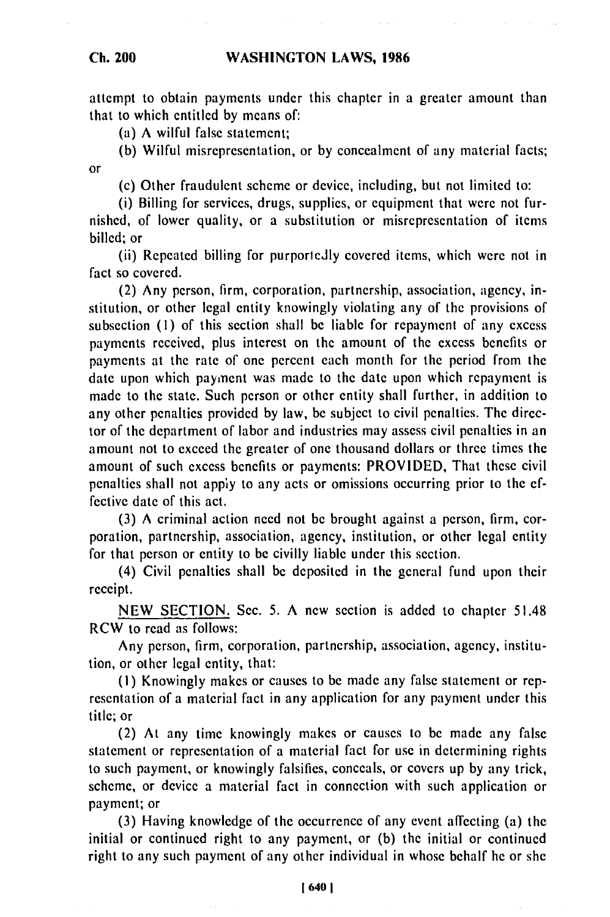**Ch. 200**

attempt to obtain payments under this chapter in a greater amount than that to which entitled by means of:

(a) A wilful false statement;

(b) Wilful misrepresentation, or by concealment of any material facts; or

(c) Other fraudulent scheme or device, including, but not limited to:

(i) Billing for services, drugs, supplies, or equipment that were not furnished, of lower quality, or a substitution or misrepresentation of items billed; or

(ii) Repeated billing for purporlcdly covered items, which were not in fact so covered.

(2) Any person, firm, corporation, partnership, association, agency, institution, or other legal entity knowingly violating any of the provisions of subsection (I) of this section shall be liable for repayment of any excess payments received, plus interest on the amount of the excess benefits or payments at the rate of one percent each month for the period from the date upon which paynent was made to the date upon which repayment is made to the state. Such person or other entity shall further, in addition to any other penalties provided by law, be subject to civil penalties. The director of the department of labor and industries may assess civil penalties in an amount not to exceed the greater of one thousand dollars or three times the amount of such excess benefits or payments: PROVIDED, That these civil penalties shall not appiy to any acts or omissions occurring prior to the effective date of this act.

(3) A criminal action need not be brought against a person, firm, corporation, partnership, association, agency, institution, or other legal entity for that person or entity to be civilly liable under this section.

(4) Civil penalties shall be deposited in the general fund upon their receipt.

NEW SECTION. Sec. 5. A new section is added to chapter 51.48 RCW to read as follows:

Any person, firm, corporation, partnership, association, agency, institution, or other legal entity, that:

**(I)** Knowingly makes or causes to be made any false statement or representation of a material fact in any application for any payment under this title; or

(2) At any time knowingly makes or causes to be made any false statement or representation of a material fact for use in determining rights to such payment, or knowingly falsifies, conceals, or covers up by any trick, scheme, or device a material fact in connection with such application or payment; or

(3) Having knowledge of the occurrence of any event affecting (a) the initial or continued right to any payment, or (b) the initial or continued right to any such payment of any other individual in whose behalf he or she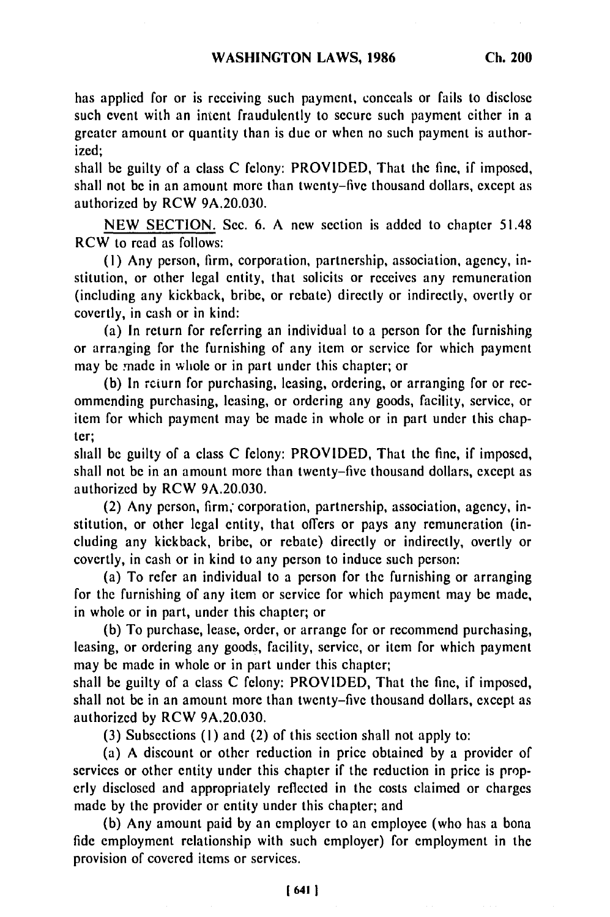has applied for or is receiving such payment, conceals or fails to disclose such event with an intent fraudulently to secure such payment either in a greater amount or quantity than is due or when no such payment is authorized;

shall be guilty of a class C felony: PROVIDED, That the fine, if imposed, shall not be in an amount more than twenty-five thousand dollars, except as authorized by RCW 9A.20.030.

NEW SECTION. Sec. 6. A new section is added to chapter 51.48 RCW to read as follows:

**(1)** Any person, firm, corporation, partnership, association, agency, institution, or other legal entity, that solicits or receives any remuneration (including any kickback, bribe, or rebate) directly or indirectly, overtly or covertly, in cash or in kind:

(a) In return for referring an individual to a person for the furnishing or arranging for the furnishing of any item or service for which payment may be made in whole or in part under this chapter; or

(b) In rcturn for purchasing, leasing, ordering, or arranging for or recommending purchasing, leasing, or ordering any goods, facility, service, or item for which payment may be made in whole or in part under this chapter;

shall be guilty of a class C felony: PROVIDED, That the fine, if imposed, shall not be in an amount more than twenty-five thousand dollars, except as authorized by RCW 9A.20.030.

(2) Any person, firm; corporation, partnership, association, agency, institution, or other legal entity, that offers or pays any remuneration (including any kickback, bribe, or rebate) directly or indirectly, overtly or covertly, in cash or in kind to any person to induce such person:

(a) To refer an individual to a person for the furnishing or arranging for the furnishing of any item or service for which payment may be made, in whole or in part, under this chapter; or

**(b)** To purchase, lease, order, or arrange for or recommend purchasing, leasing, or ordering any goods, facility, service, or item for which payment may be made in whole or in part under this chapter;

shall be guilty of a class C felony: PROVIDED, That the fine, if imposed, shall not be in an amount more than twenty-five thousand dollars, except as authorized by RCW 9A.20.030.

(3) Subsections **(I)** and (2) of this section shall not apply to:

(a) A discount or other reduction in price obtained by a provider of services or other entity under this chapter if the reduction in price is properly disclosed and appropriately reflected in the costs claimed or charges made by the provider or entity under this chapter; and

(b) Any amount paid by an employer to an employee (who has a bona fide employment relationship with such employer) for employment in the provision of covered items or services.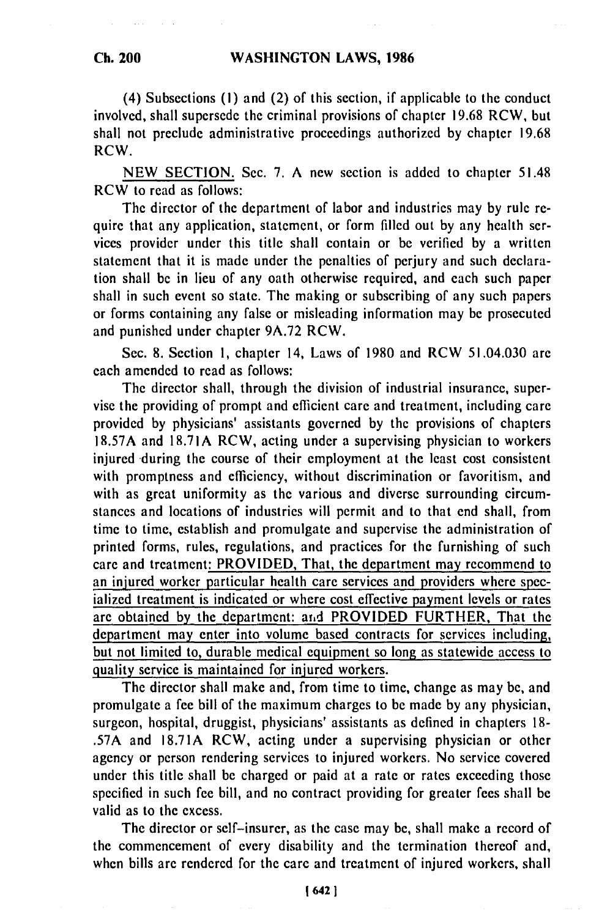(4) Subsections (I) and (2) of this section, if applicable to the conduct involved, shall supersede the criminal provisions of chapter 19.68 RCW, but shall not preclude administrative proceedings authorized by chapter 19.68 RCW.

NEW SECTION. Sec. 7. A new section is added to chapter 51.48 RCW to read as follows:

The director of the department of labor and industries may by rule require that any application, statement, or form filled out by any health services provider under this title shall contain or be verified by a written statement that it is made under the penalties of perjury and such declaration shall be in lieu of any oath otherwise required, and each such paper shall in such event so state. The making or subscribing of any such papers or forms containing any false or misleading information may be prosecuted and punished under chapter 9A.72 RCW.

Sec. 8. Section 1, chapter 14, Laws of 1980 and RCW 51.04.030 are each amended to read as follows:

The director shall, through the division of industrial insurance, supervise the providing of prompt and efficient care and treatment, including care provided by physicians' assistants governed by the provisions of chapters 18.57A and 18.71A RCW, acting under a supervising physician to workers injured during the course of their employment at the least cost consistent with promptness and efficiency, without discrimination or favoritism, and with as great uniformity as the various and diverse surrounding circumstances and locations of industries will permit and to that end shall, from time to time, establish and promulgate and supervise the administration of printed forms, rules, regulations, and practices for the furnishing of such care and treatment: PROVIDED, That, the department may recommend to an injured worker particular health care services and providers where specialized treatment is indicated or where cost effective payment levels or rates are obtained by the department: arid PROVIDED FURTHER, That the department may enter into volume based contracts for services including, but not limited to, durable medical equipment so long as statewide access to quality service is maintained for injured workers.

The director shall make and, from time to time, change as may be, and promulgate a fee bill of the maximum charges to be made by any physician, surgeon, hospital, druggist, physicians' assistants as defined in chapters 18- .57A and 18.71A RCW, acting under a supervising physician or other agency or person rendering services to injured workers. No service covered under this title shall be charged or paid at a rate or rates exceeding those specified in such fee bill, and no contract providing for greater fees shall be valid as to the excess.

The director or self-insurer, as the case may be, shall make a record of the commencement of every disability and the termination thereof and, when bills are rendered for the care and treatment of injured workers, shall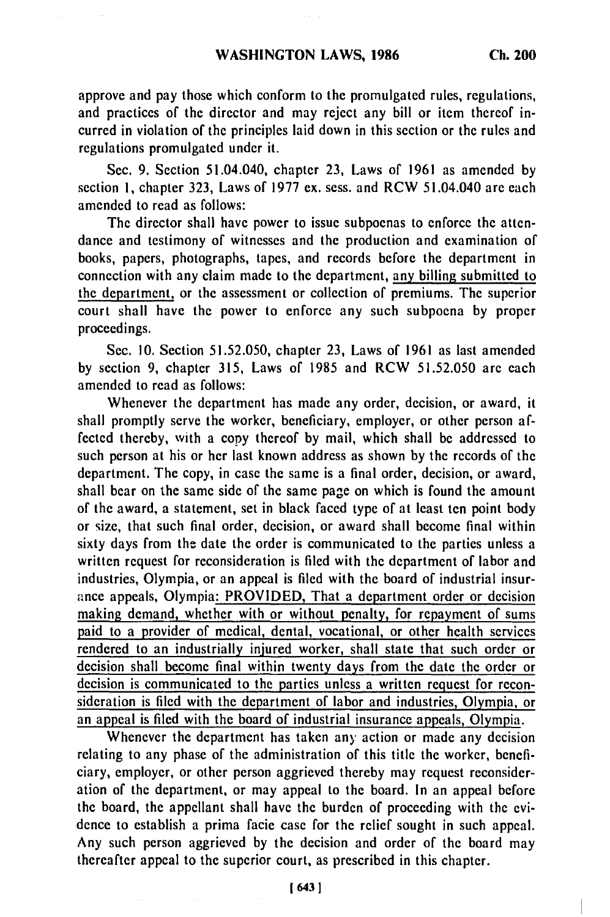approve and pay those which conform to the promulgated rules, regulations, and practices of the director and may reject any bill or item thereof incurred in violation of the principles laid down in this section or the rules and regulations promulgated under it.

Sec. 9. Section 51.04.040, chapter 23, Laws of 1961 as amended by section **1,** chapter 323, Laws of 1977 ex. sess. and RCW 51.04.040 are each amended to read as follows:

The director shall have power to issue subpoenas to enforce the attendance and testimony of witnesses and the production and examination of books, papers, photographs, tapes, and records before the department in connection with any claim made to the department, any billing submitted to the department, or the assessment or collection of premiums. The superior court shall have the power to enforce any such subpoena by proper proceedings.

Sec. 10. Section 51.52.050, chapter 23, Laws of 1961 as last amended by section 9, chapter 315, Laws of 1985 and RCW 51.52.050 are each amended to read as follows:

Whenever the department has made any order, decision, or award, it shall promptly serve the worker, beneficiary, employer, or other person affected thereby, with a copy thereof by mail, which shall be addressed to such person at his or her last known address as shown by the records of the department. The copy, in case the same is a final order, decision, or award, shall bear on the same side of the same page on which is found the amount of the award, a statement, set in black faced type of at least ten point body or size, that such final order, decision, or award shall become final within sixty days from the date the order is communicated to the parties unless a written request for reconsideration is filed with the department of labor and industries, Olympia, or an appeal is filed with the board of industrial insurance appeals, Olympia: PROVIDED, That a department order or decision making demand, whether with or without penalty, for repayment of sums paid to a provider of medical, dental, vocational, or other health services rendered to an industrially injured worker, shall state that such order or decision shall become final within twenty days from the date the order or decision is communicated to the parties unless a written request for reconsideration is filed with the department of labor and industries, Olympia, or an appeal is filed with the board of industrial insurance appeals, Olympia.

Whenever the department has taken any action or made any decision relating to any phase of the administration of this title the worker, beneficiary, employer, or other person aggrieved thereby may request reconsideration of the department, or may appeal to the board. In an appeal before the board, the appellant shall have the burden of proceeding with the evidence to establish a prima facie case for the relief sought in such appeal. Any such person aggrieved by the decision and order of the board may thereafter appeal to the superior court, as prescribed in this chapter.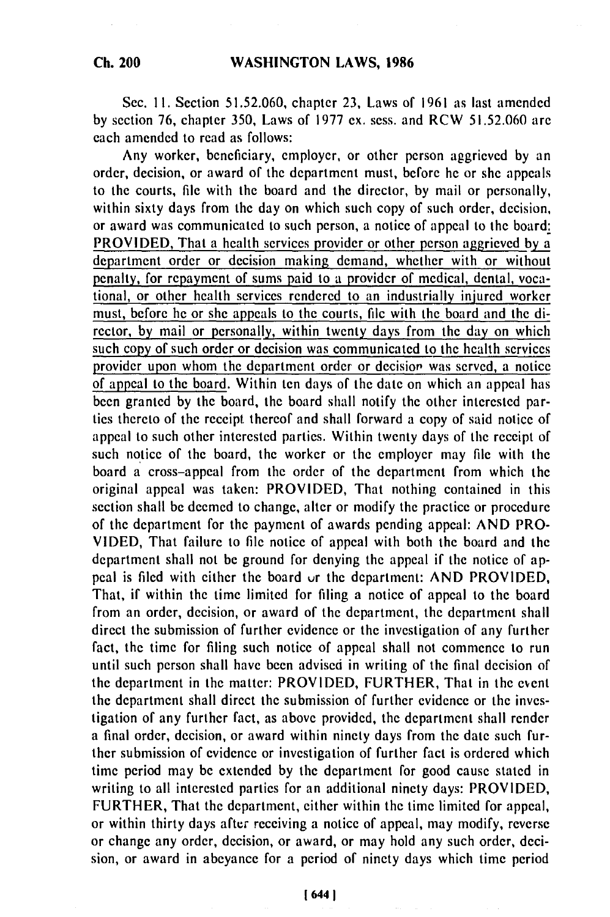Sec. II. Section 51.52.060, chapter 23, Laws of 1961 as last amended by section 76, chapter 350, Laws of 1977 ex. sess. and RCW 51.52.060 are each amended to read as follows:

Any worker, beneficiary, employer, or other person aggrieved by an order, decision, or award of the department must, before he or she appeals to the courts, file with the board and the director, by mail or personally, within sixty days from the day on which such copy of such order, decision, or award was communicated to such person, a notice of appeal to the board: PROVIDED, That a health services provider or other person aggrieved by a department order or decision making demand, whether with or without penalty, for repayment of sums paid to a provider of medical, dental, vocational, or other health services rendered to an industrially injured worker must, before he or she appeals to the courts, file with the board and the director, by mail or personally, within twenty days from the day on which such copy of such order or decision was communicated to the health services provider upon whom the department order or decision was served, a notice of appeal to the board. Within ten days of the date on which an appeal has been granted by the board, the board shall notify the other interested parties thereto of the receipt thereof and shall forward a copy of said notice of appeal to such other interested parties. Within twenty days of the receipt of such notice of the board, the worker or the employer may file with the board a cross-appeal from the order of the department from which the original appeal was taken: PROVIDED, That nothing contained in this section shall be deemed to change, alter or modify the practice or procedure of the department for the payment of awards pending appeal: AND PRO-VIDED, That failure to file notice of appeal with both the board and the department shall not be ground for denying the appeal if the notice of appeal is filed with either the board *ur* the department: AND PROVIDED, That, if within the time limited for filing a notice of appeal to the board from an order, decision, or award of the department, the department shall direct the submission of further evidence or the investigation of any further fact, the time for filing such notice of appeal shall not commence to run until such person shall have been advised in writing of the final decision of the department in the matter: PROVIDED, FURTHER, That in the event the department shall direct the submission of further evidence or the investigation of any further fact, as above provided, the department shall render a final order, decision, or award within ninety days from the date such further submission of evidence or investigation of further fact is ordered which time period may be extended by the department for good cause stated in writing to all interested parties for an additional ninety days: PROVIDED, FURTHER, That the department, either within the time limited for appeal, or within thirty days after receiving a notice of appeal, may modify, reverse or change any order, decision, or award, or may hold any such order, decision, or award in abeyance for a period of ninety days which time period